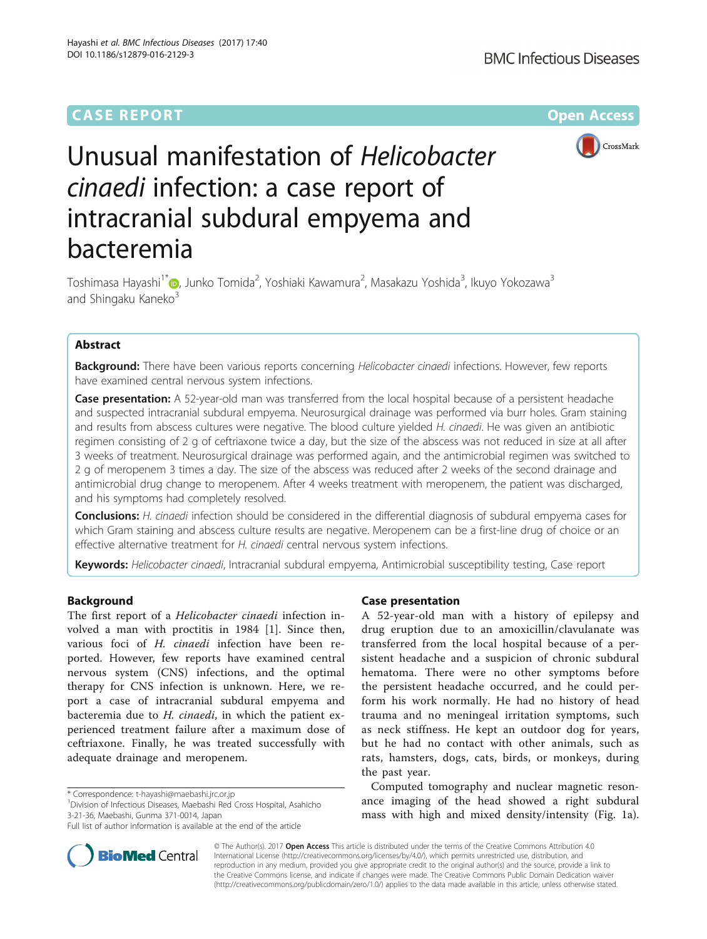## **CASE REPORT CASE REPORT CASE REPORT**



# Unusual manifestation of Helicobacter cinaedi infection: a case report of intracranial subdural empyema and bacteremia

Toshimasa Hayashi<sup>1[\\*](http://orcid.org/0000-0001-8803-0914)</sup>©, Junko Tomida<sup>2</sup>, Yoshiaki Kawamura<sup>2</sup>, Masakazu Yoshida<sup>3</sup>, Ikuyo Yokozawa<sup>3</sup> and Shingaku Kaneko<sup>3</sup>

## Abstract

Background: There have been various reports concerning Helicobacter cinaedi infections. However, few reports have examined central nervous system infections.

Case presentation: A 52-year-old man was transferred from the local hospital because of a persistent headache and suspected intracranial subdural empyema. Neurosurgical drainage was performed via burr holes. Gram staining and results from abscess cultures were negative. The blood culture yielded H. cinaedi. He was given an antibiotic regimen consisting of 2 g of ceftriaxone twice a day, but the size of the abscess was not reduced in size at all after 3 weeks of treatment. Neurosurgical drainage was performed again, and the antimicrobial regimen was switched to 2 g of meropenem 3 times a day. The size of the abscess was reduced after 2 weeks of the second drainage and antimicrobial drug change to meropenem. After 4 weeks treatment with meropenem, the patient was discharged, and his symptoms had completely resolved.

Conclusions: H. cinaedi infection should be considered in the differential diagnosis of subdural empyema cases for which Gram staining and abscess culture results are negative. Meropenem can be a first-line drug of choice or an effective alternative treatment for H. cinaedi central nervous system infections.

Keywords: Helicobacter cinaedi, Intracranial subdural empyema, Antimicrobial susceptibility testing, Case report

### Background

The first report of a Helicobacter cinaedi infection involved a man with proctitis in 1984 [[1\]](#page-3-0). Since then, various foci of H. cinaedi infection have been reported. However, few reports have examined central nervous system (CNS) infections, and the optimal therapy for CNS infection is unknown. Here, we report a case of intracranial subdural empyema and bacteremia due to H. cinaedi, in which the patient experienced treatment failure after a maximum dose of ceftriaxone. Finally, he was treated successfully with adequate drainage and meropenem.

Division of Infectious Diseases, Maebashi Red Cross Hospital, Asahicho 3-21-36, Maebashi, Gunma 371-0014, Japan



A 52-year-old man with a history of epilepsy and drug eruption due to an amoxicillin/clavulanate was transferred from the local hospital because of a persistent headache and a suspicion of chronic subdural hematoma. There were no other symptoms before the persistent headache occurred, and he could perform his work normally. He had no history of head trauma and no meningeal irritation symptoms, such as neck stiffness. He kept an outdoor dog for years, but he had no contact with other animals, such as rats, hamsters, dogs, cats, birds, or monkeys, during the past year.

Computed tomography and nuclear magnetic resonance imaging of the head showed a right subdural mass with high and mixed density/intensity (Fig. [1a](#page-1-0)).



© The Author(s). 2017 **Open Access** This article is distributed under the terms of the Creative Commons Attribution 4.0 International License [\(http://creativecommons.org/licenses/by/4.0/](http://creativecommons.org/licenses/by/4.0/)), which permits unrestricted use, distribution, and reproduction in any medium, provided you give appropriate credit to the original author(s) and the source, provide a link to the Creative Commons license, and indicate if changes were made. The Creative Commons Public Domain Dedication waiver [\(http://creativecommons.org/publicdomain/zero/1.0/](http://creativecommons.org/publicdomain/zero/1.0/)) applies to the data made available in this article, unless otherwise stated.

<sup>\*</sup> Correspondence: [t-hayashi@maebashi.jrc.or.jp](mailto:t-hayashi@maebashi.jrc.or.jp) <sup>1</sup>

Full list of author information is available at the end of the article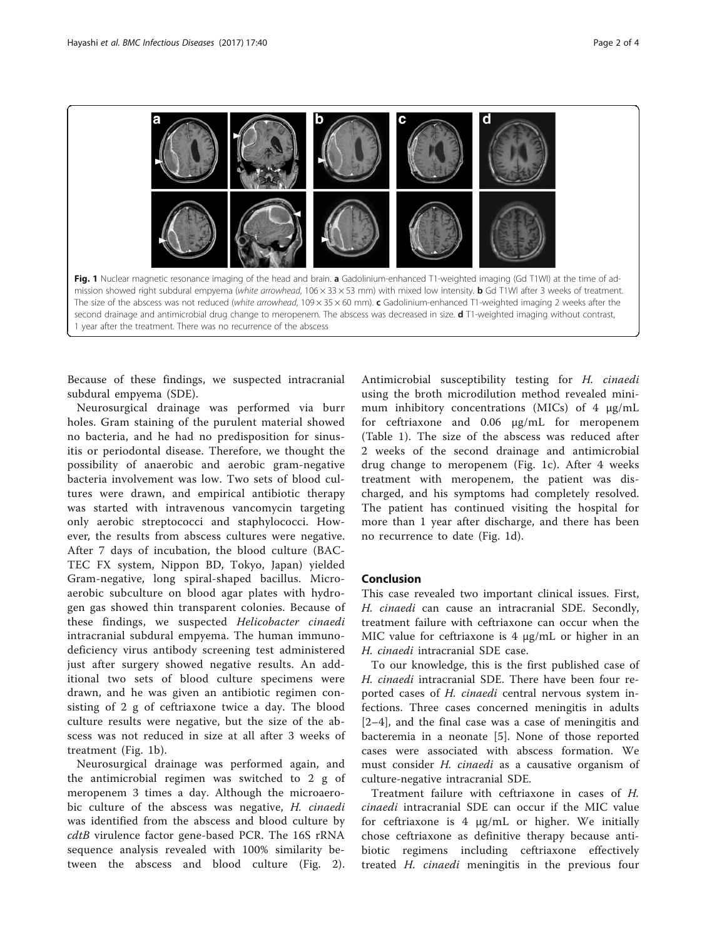<span id="page-1-0"></span>

Because of these findings, we suspected intracranial subdural empyema (SDE).

Neurosurgical drainage was performed via burr holes. Gram staining of the purulent material showed no bacteria, and he had no predisposition for sinusitis or periodontal disease. Therefore, we thought the possibility of anaerobic and aerobic gram-negative bacteria involvement was low. Two sets of blood cultures were drawn, and empirical antibiotic therapy was started with intravenous vancomycin targeting only aerobic streptococci and staphylococci. However, the results from abscess cultures were negative. After 7 days of incubation, the blood culture (BAC-TEC FX system, Nippon BD, Tokyo, Japan) yielded Gram-negative, long spiral-shaped bacillus. Microaerobic subculture on blood agar plates with hydrogen gas showed thin transparent colonies. Because of these findings, we suspected Helicobacter cinaedi intracranial subdural empyema. The human immunodeficiency virus antibody screening test administered just after surgery showed negative results. An additional two sets of blood culture specimens were drawn, and he was given an antibiotic regimen consisting of 2 g of ceftriaxone twice a day. The blood culture results were negative, but the size of the abscess was not reduced in size at all after 3 weeks of treatment (Fig. 1b).

Neurosurgical drainage was performed again, and the antimicrobial regimen was switched to 2 g of meropenem 3 times a day. Although the microaerobic culture of the abscess was negative, H. cinaedi was identified from the abscess and blood culture by cdtB virulence factor gene-based PCR. The 16S rRNA sequence analysis revealed with 100% similarity between the abscess and blood culture (Fig. [2](#page-2-0)).

Antimicrobial susceptibility testing for H. cinaedi using the broth microdilution method revealed minimum inhibitory concentrations (MICs) of 4 μg/mL for ceftriaxone and 0.06 μg/mL for meropenem (Table [1\)](#page-3-0). The size of the abscess was reduced after 2 weeks of the second drainage and antimicrobial drug change to meropenem (Fig. 1c). After 4 weeks treatment with meropenem, the patient was discharged, and his symptoms had completely resolved. The patient has continued visiting the hospital for more than 1 year after discharge, and there has been no recurrence to date (Fig. 1d).

#### Conclusion

This case revealed two important clinical issues. First, H. cinaedi can cause an intracranial SDE. Secondly, treatment failure with ceftriaxone can occur when the MIC value for ceftriaxone is 4 μg/mL or higher in an H. cinaedi intracranial SDE case.

To our knowledge, this is the first published case of H. cinaedi intracranial SDE. There have been four reported cases of H. cinaedi central nervous system infections. Three cases concerned meningitis in adults [[2](#page-3-0)–[4](#page-3-0)], and the final case was a case of meningitis and bacteremia in a neonate [\[5](#page-3-0)]. None of those reported cases were associated with abscess formation. We must consider H. cinaedi as a causative organism of culture-negative intracranial SDE.

Treatment failure with ceftriaxone in cases of H. cinaedi intracranial SDE can occur if the MIC value for ceftriaxone is 4 μg/mL or higher. We initially chose ceftriaxone as definitive therapy because antibiotic regimens including ceftriaxone effectively treated H. cinaedi meningitis in the previous four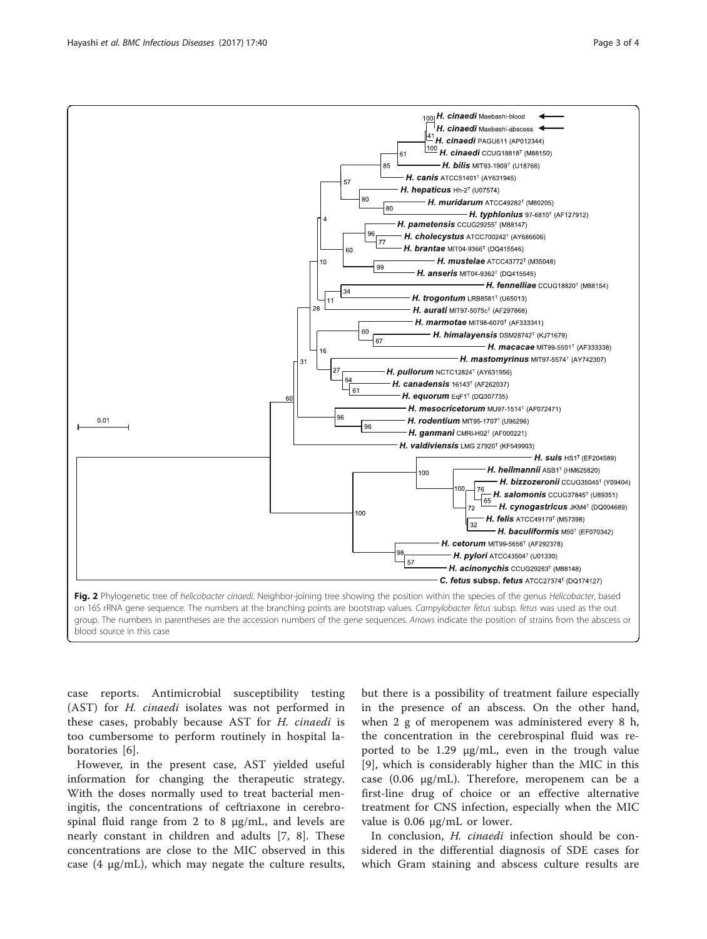<span id="page-2-0"></span>

case reports. Antimicrobial susceptibility testing (AST) for H. cinaedi isolates was not performed in these cases, probably because AST for H. cinaedi is too cumbersome to perform routinely in hospital laboratories [\[6\]](#page-3-0).

However, in the present case, AST yielded useful information for changing the therapeutic strategy. With the doses normally used to treat bacterial meningitis, the concentrations of ceftriaxone in cerebrospinal fluid range from 2 to 8 μg/mL, and levels are nearly constant in children and adults [[7, 8\]](#page-3-0). These concentrations are close to the MIC observed in this case  $(4 \mu g/mL)$ , which may negate the culture results,

but there is a possibility of treatment failure especially in the presence of an abscess. On the other hand, when 2 g of meropenem was administered every 8 h, the concentration in the cerebrospinal fluid was reported to be 1.29 μg/mL, even in the trough value [[9](#page-3-0)], which is considerably higher than the MIC in this case (0.06 μg/mL). Therefore, meropenem can be a first-line drug of choice or an effective alternative treatment for CNS infection, especially when the MIC value is 0.06 μg/mL or lower.

In conclusion, H. cinaedi infection should be considered in the differential diagnosis of SDE cases for which Gram staining and abscess culture results are